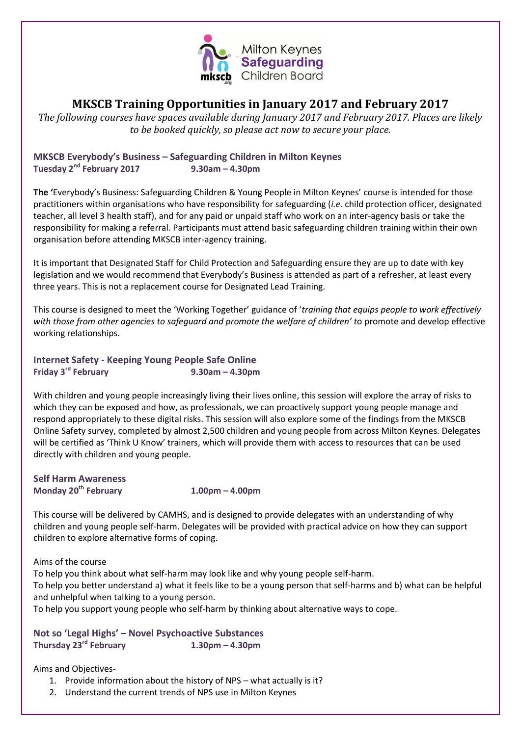

## **MKSCB Training Opportunities in January 2017 and February 2017**

*The following courses have spaces available during January 2017 and February 2017. Places are likely to be booked quickly, so please act now to secure your place.*

**MKSCB Everybody's Business – Safeguarding Children in Milton Keynes Tuesday 2nd February 2017 9.30am – 4.30pm**

**The '**Everybody's Business: Safeguarding Children & Young People in Milton Keynes' course is intended for those practitioners within organisations who have responsibility for safeguarding (*i.e.* child protection officer, designated teacher, all level 3 health staff), and for any paid or unpaid staff who work on an inter-agency basis or take the responsibility for making a referral. Participants must attend basic safeguarding children training within their own organisation before attending MKSCB inter-agency training.

It is important that Designated Staff for Child Protection and Safeguarding ensure they are up to date with key legislation and we would recommend that Everybody's Business is attended as part of a refresher, at least every three years. This is not a replacement course for Designated Lead Training.

This course is designed to meet the 'Working Together' guidance of '*training that equips people to work effectively with those from other agencies to safeguard and promote the welfare of children' t*o promote and develop effective working relationships.

## **Internet Safety - Keeping Young People Safe Online Friday 3rd February 9.30am – 4.30pm**

With children and young people increasingly living their lives online, this session will explore the array of risks to which they can be exposed and how, as professionals, we can proactively support young people manage and respond appropriately to these digital risks. This session will also explore some of the findings from the MKSCB Online Safety survey, completed by almost 2,500 children and young people from across Milton Keynes. Delegates will be certified as 'Think U Know' trainers, which will provide them with access to resources that can be used directly with children and young people.

| <b>Self Harm Awareness</b>       |    |
|----------------------------------|----|
| Monday 20 <sup>th</sup> February | 1. |

**Monday 20th February 1.00pm – 4.00pm**

This course will be delivered by CAMHS, and is designed to provide delegates with an understanding of why children and young people self-harm. Delegates will be provided with practical advice on how they can support children to explore alternative forms of coping.

Aims of the course

To help you think about what self-harm may look like and why young people self-harm. To help you better understand a) what it feels like to be a young person that self-harms and b) what can be helpful and unhelpful when talking to a young person.

To help you support young people who self-harm by thinking about alternative ways to cope.

**Not so 'Legal Highs' – Novel Psychoactive Substances Thursday 23rd February 1.30pm – 4.30pm**

Aims and Objectives-

- 1. Provide information about the history of NPS what actually is it?
- 2. Understand the current trends of NPS use in Milton Keynes